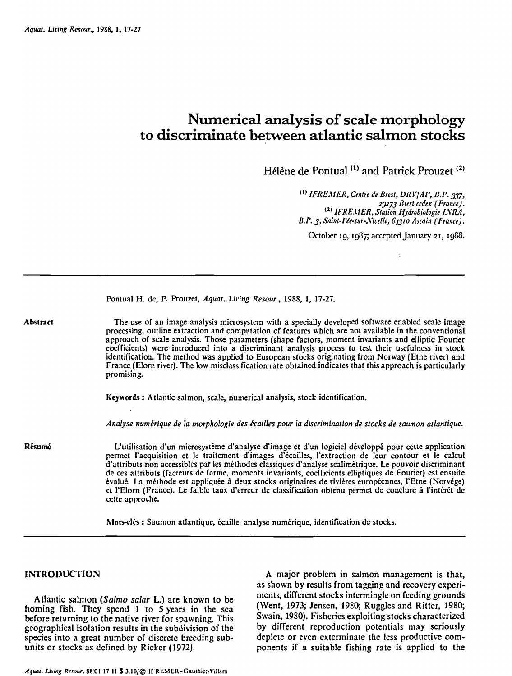# **Numerical analysis of scale morphology to discriminate between atlantic salmon stocks**

**Hélérie** de Pontuai ''' and Patrick Prouzet **'2'** 

"' *IFREL1.IER, Centre de Brest, L)RL'/AP, L3.P.* **337,**  *23273 nrtst cedex (France).* ''' *IFRE,ZlER, Station tfidrobiologie I,VR.I,*  B.P. 3, Saint-Pée-sur-Nivelle, 64310 Ascain (France).

October 19, 1987; accepted January 21, 1988.

Pontual H. de, P. Prouzet, *Aquat. Liring Resour., 1988, 1,* **17-27.** 

The use of an image analysis microsystem with a specially developed software enabled scale image processing, outline extraction and computation of features which are not availablc in the conventional approach of scale analysis. Those parameters (shapc factors, moment invariants and elliptic Fourier coefficients) were introduced into a discriminant analysis process to test their usefulness in stock identification. The method was applied to European stocks originating from Norway (Etne river) and France (Elorn river). The low misclassification rate obtained indicates that this approach is particularly promising.

**Keywords** : Atlantic salmon, scale, numerical analysis, stock identification.

*Analyse numérique de la morphologie des écailles pour la discrimination de stocks de saumon atlantique.* 

**Résumé**  L'utilisation d'un microsystéme d'analyse d'image et d'un logiciel développé pour cette application permet l'acquisition et le traitement d'images d'écailles, i'extraction de leur contour et le calcul d'attributs non accessibles par les méthodes classiques d'analyse scalimétrique. Le pouvoir discriminant de ces attributs (facteurs de forme, moments invariants, coefficients elliptiques de Fourier) est ensuite évalué. La méthode est appliquée à deux stocks originaires de rivières européennes, I'Etne (Norvège) et l'Elorn (France). Le faible taux d'erreur de classification obtenu permet dc conclure à l'intérêt de cette approche.

Mots-clés : Saumon atlantique, écaille. analyse numérique, identification de stocks.

### **INTRODUCTION**

Abstract

Atlantic salmon *(Salmo* salar L.) are known to be homing fish. They spend 1 to 5 years in the sea before returning to the native river for spawning. This geographical isolation results in the subdivision of the species into a great numbcr of discrete breeding subunits or stocks as dcfined by Ricker (1972).

A major problcm in salmon management is that, as shown by results from tagging and recovery experiments, different stocks intermingle on feeding grounds (Went, 1973; Jensen, 1980; Ruggles and Ritter, 1980; Swain, 1980). Fisheries exploiting stocks characterized by different reproduction potentials may scriously deplete or even exterminate the less productive components if a suitable fishing rate is applicd to the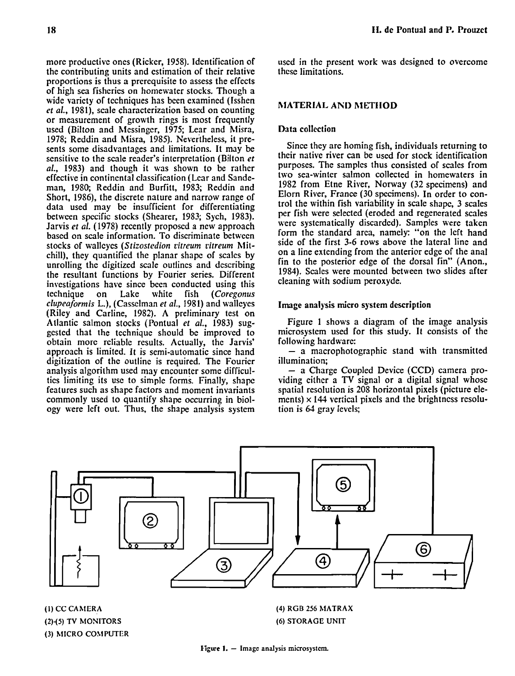more productive ones (Ricker, 1958). Identification of the contributing units and estimation of their relative proportions is thus a prerequisite to assess the effects of high sea fisheries on homewater stocks. Though a wide variety of techniques has been examined (Isshen et al., 1981), scale characterization based on counting or measurement of growth rings is most frequently used (Bilton and Messinger, 1975; Lear and Misra, 1978; Reddin and hlisra, 1985). Nevertheless, it presents some disadvantages and limitations. It may be sensitive to the scale reader's interpretation (Bilton et al., 1983) and though it was shown to be rather effective in continental classification (Lear and Sandeman, 1980; Reddin and Burfitt, 1983; Reddin and Short, 1986), the discrete nature and narrow range of data used may be insufficient for differentiating between spccific stocks (Shearer, 1983; Sych, 1983). Jarvis et al. (1978) recently proposcd a new approach based on scale information. To discriminate betwcen stocks of walleyes (Stizostedion vitreum citreum Mitchill), they quantified the planar shape of scales by unrolling the digitized scale outlines and describing the resultant functions by Fourier series. Different investigations have since been conducted using this technique on Lake white fish (Coregonus on Lake white fish clupeaformis L.), (Casselman et al., 1981) and walleyes (Riley and Carline, 1982). A preliminary test on Atlantic salmon stocks (Pontual et al., 1983) suggested that the technique should be improved to obtain more reliable results. Actually, the Jarvis' approach is limited. It is semi-automatic since hand digitization of the outline is required. The Fourier analysis algorithm used may encounter some difficultics limiting its use to simple forms. Finally, shape features such as shape factors and moment invariants commonly used to quantify shape occurring in biology were left out. Thus, the shape analysis system used in the present work was designed to overcome these limitations.

# **MATERIAL AND METHOD**

# Data collection

Since they are homing fish, individuals returning to their native river can be used for stock identification purposes. The samples thus consisted of scales frorn two sea-winter salmon collected in homewaters in 1982 from Etne River, Norway (32 specimens) and Elorn River, France (30 specimens). In order to control the within fish variability in scale shape, 3 scales per fish were selected (eroded and regenerated scales were systematically discarded). Samples were taken form the standard area, namely: "on the left hand side of the first 3-6 rows above the lateral line and on a line extending from the anterior edge of the anal fin to the posterior edge of the dorsal fin" (Anon., 1984). Scales were mounted between two slides after cleaning with sodium peroxyde.

## **Image analysis micro system description**

Figure 1 shows a diagram of the image analysis microsystem used for this study. It consists of the

following hardware: - a macrophotographic stand with transmitted illumination;

- a Charge Coupled Device (CCD) camera providing either a **TV** signal or a digital signal whose spatial resolution is 208 horizontal pixels (picture elements) **x** 144 vertical pixels and the brightness resolution is 63 gray levels;



**(1) CC CAhfERA (2)-(5) TV MONITORS (3) hllCRO COMPUTER**  **(4) RGB 256 hlATRAX (6) STORAGC UNIT** 

**Figure 1.** - Image analysis microsystem.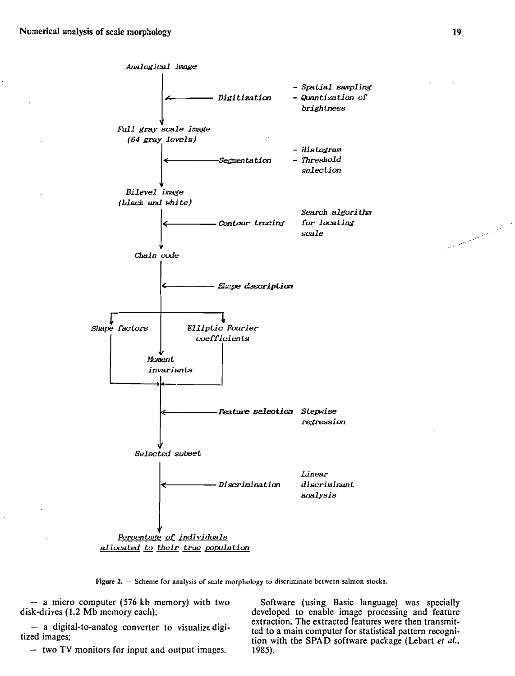

**Figure 2.**  $-$  Scheme for analysis of scale morphology to discriminate between salmon stocks.

- a micro computer (576 kb memory) with two Software (using Basic language) was specially disk-drives (1.2 Mb memory each); disk-drives example image processing and feature

developed to enable image processing and feature<br>extraction. The extracted features were then transmit-- a digital-to-analog converter to visualize digi-<br>tized images;<br>- two TV monitors for input and output images.<br>- two TV monitors for input and output images.<br>1985).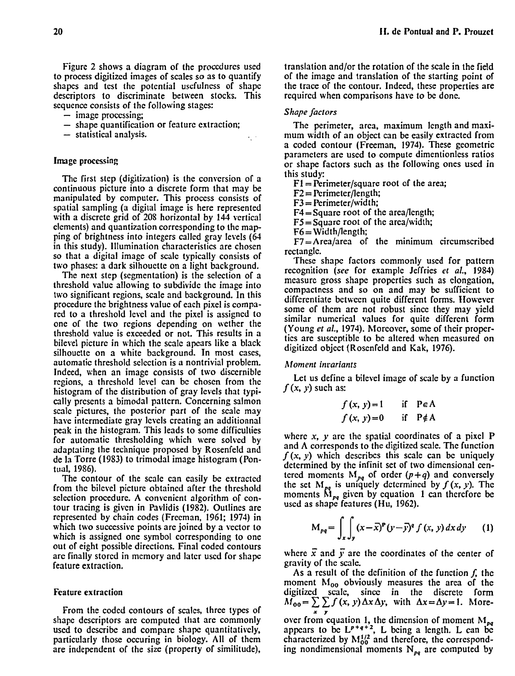Figure 2 shows a diagram of the proccdurcs used to process digitized images of scales so as to quantify shapes and tcst the potential uscfulness of shape descriptors to discriminate between stocks. This sequence consists of the following stages:

- image processing;
- image processing;<br>- shape quantification or feature extraction; - shape quantificatio<br>- statistical analysis.
- 

### **Image** processing

The first step (digitization) is the conversion of a continuous picture into a discrete form that may be manipulated by computer. This process consists of spatial sampling (a digital image is here represented with a discrete grid of 208 horizontal by 144 vertical elements) and quantization corresponding to the mapping of brightness into integers called gray levels (61 in this study). Illumination characteristics are chosen so that a digital image of scale typically consists of two phases: a dark silhouette on a light background.

The next step (segmentation) is the selection of a threshold value allowing to subdivide the image into two significant regions, scale and background. In this procedure the brightness value of each pixel is compared to a threshold level and the pixel is assigned to one of the two regions depending on wether the threshold value is exceeded or not. This results in a bilevel picture in which the scale apears Iike a black silhouette on a white background. In most cases, automatic threshold selection is a nontrivial problem. Indeed, when an image consists of two discernible regions, a threshold level can be chosen from the histogram of the distribution of gray levels that typically presents a bimodal pattern. Concerning salmon scale pictures, the postcrior part of the scale may have intermediate gray levels creating an additionna1 peak in the histogram. This leads to some difficulties for automatic thresholding which were solved by adaptating the technique proposed by Rosenfeld and de la Torre (1983) to trimodal image histogram (Pontual, 1986).

The contour of the scale can casily be extractcd from the bilevel picture obtained after the thrcshold selection procedure. A convcnient algorithm of contour tracing is givcn in Pavlidis (1982). Outlines are represented by chain codes (Frecman, 1961; 1974) in which two successive points are joined by a vector to which is assigned one symbol corresponding to one out of eight possible directions. Final coded contours are finally stored in memory and later uscd for shape feature extraction.

#### Feature extraction

From the coded contours of scalcs, three types of shape descriptors are computed that are commonly used to describe and compare shape quantitatively, particularly those occuring in biology. Al1 of them are independent of the size (property of similitude),

translation and/or the rotation of the scale in the field of the image and translation of the starting point of the trace of the contour. Indeed, these properties are required when comparisons have to be done.

#### *Shape* factors

The perimeter, arca, maximum length and maximum width of an object can be easily extracted from a coded contour (Freeman, 1974). These geometric parameters are used to compute dimentionless ratios or shape factors such as the following ones used in this study:

 $F1 = Perimeter/square root of the area;$ 

 $F2 = Perimeter/length;$ 

 $F3 = Perimeter/width;$ 

 $F4 =$ Square root of the area/length;

 $F5 =$ Square root of the area/width;

 $F6 = Width/length$ ;

 $F7 = Area/area$  of the minimum circumscribed rectangle.

These shape factors commonly used for pattern recognition **(sec** for example Jeffries et al., 1984) measure gross shape propertics such as elongation, compactness and so on and may be sufficient to differentiate between quite different forms. However some of them are not robust since they may yield similar numcrical values for quite different form (Young et al., 1974). Moreover, some of their propertics are susceptible to be altered when measured on digitized objcct (Rosenfeld and Kak, 1976).

#### Moment invariants

Let us define a bilevel image of scale by a function  $f(x, y)$  such as:

$$
f(x, y) = 1 \quad \text{if } P \in A
$$
  

$$
f(x, y) = 0 \quad \text{if } P \notin A
$$

where  $x$ ,  $y$  are the spatial coordinates of a pixel  $P$ and  $\Lambda$  corresponds to the digitized scale. The function  $f(x, y)$  which describes this scale can be uniquely determined by the infinit set of two dimensional centered moments  $M_{pq}$  of order  $(p+q)$  and conversely the set  $M_{pq}$  is uniquely determined by  $f (x, y)$ . The moments **KI<sub>pq</sub>** is and the continuous by  $f(x, y)$ . The uscd as shape features (Hu, 1962).

$$
M_{pq} = \int_{x} \int_{y} (x - \bar{x})^{p} (y - \bar{y})^{q} f(x, y) dx dy \qquad (1)
$$

where  $\vec{x}$  and  $\vec{y}$  are the coordinates of the center of gravity of the scale.

As a result of the definition of the function  $f$ , the moment  $M_{00}$  obviously measures the area of the digitized scale, since in the discrete form  $M_{00} = \sum \sum f(x, y) \Delta x \Delta y$ , with  $\Delta x = \Delta y = 1$ . More**x Y**  over from equation 1, the dimension of moment  $M_{\nu}$ appears to be  $L^{p+q+2}$ , L being a length. L can be characterized by  $M_{00}^{1/2}$  and therefore, the corresponding nondimensional moments  $N_{pa}$  are computed by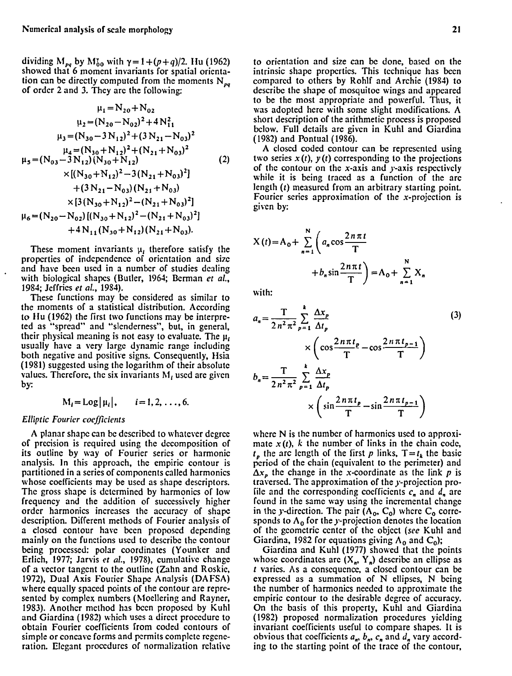dividing  $M_{pq}$  by  $M_{00}^r$  with  $\gamma = 1 + (p+q)/2$ . Hu (1962) showed that 6 moment invariants for spatial orientation can be directly computed from the moments  $N_{pa}$ of order 2 and 3. They are the following:

$$
\mu_1 = N_{20} + N_{02}
$$
\n
$$
\mu_2 = (N_{20} - N_{02})^2 + 4N_{11}^2
$$
\n
$$
\mu_3 = (N_{30} - 3N_{12})^2 + (3N_{21} - N_{03})^2
$$
\n
$$
\mu_4 = (N_{30} + N_{12})^2 + (N_{21} + N_{03})^2
$$
\n
$$
\mu_5 = (N_{03} - 3N_{12})(N_{30} + N_{12}) \qquad (2)
$$
\n
$$
\times [(N_{30} + N_{12})^2 - 3(N_{21} + N_{03})^2]
$$
\n
$$
+ (3N_{21} - N_{03})(N_{21} + N_{03})
$$
\n
$$
\times [3(N_{30} + N_{12})^2 - (N_{21} + N_{03})^2]
$$
\n
$$
\mu_6 = (N_{20} - N_{02}) [(N_{30} + N_{12})^2 - (N_{21} + N_{03})^2]
$$
\n
$$
+ 4N_{11} (N_{30} + N_{12}) (N_{21} + N_{03}).
$$

These moment invariants  $\mu_i$  therefore satisfy the properties of independence of orientation and size and have been used in a numbcr of studies dealing with biological shapes (Butler, 1964; Berman et al., 1984; Jeffries et al., 1983).

These functions may be considered as similar to the moments of ü statistical distribution. According to Hu (1962) the first two functions may be interpreted as "spread" and "slenderness", but, in general, their physical meaning is not easy to evaluate. The  $\mu_i$ usually have a very large dynamic range including both negative and positive signs. Consequently, Hsia (1981) suggested using the logarithm of their absolute values. Therefore, the six invariants  $M_t$  used are given by:

$$
M_i = Log|\mu_i|
$$
,  $i = 1, 2, ..., 6$ .

#### Elliptic Fourier coefficients

A planar shape can be described to whatever degree of precision is required using the dccomposition of its outline by way of Fourier series or harmonic analysis. In this approach, the empiric contour is partitioned in a series of components called harmonics whose coefficients may be used as shape descriptors. The gross shape is determined by harmonics of low frequency and the addition of successively higher order harmonics increases the accuracy of shape description. Different methods of Fourier analysis of a closed contour have been proposed depending mainly on the functions used to describe the contour being processed: polar coordinates (Younker and Erlich, 1977; Jarvis et al., 1978), cumulative change of a vector tangent to the outline (Zahn and Roskie, 1972), Dual Axis Fourier Shape Analysis (DAFSA) where equally spaced points of the contour are represented by complex numbers (hloellering and Rayner, 1983). Another mcthod has bcen proposed by Kuhl and Giardina (1982) which uses a dircct procedure to obtain Fourier coefficients from coded contours of simple or concave forms and permits completc regeneration. Elegant procedures of normalization relative

to orientation and size can be done, based on the intrinsic shape properties. This technique has been comparcd to others by Kohlf and Archie (1983) to describe the shape of mosquitoe wings and appeared to be the most appropriate and powerful. Thus, it was adopted here with some slight modifications. A short description of the arithmetic process is proposed bclow. Full details are given in Kuhl and Giardina (1982) and Pontual (1986).

A closed coded contour can be represented using two series  $x(t)$ ,  $y(t)$  corresponding to the projections of the contour on the x-axis and y-axis respectively while it is being traced as a function of the arc length (t) measured from an arbitrary starting point. Fourier series approximation of the x-projection is given by:

$$
X(t) = A_0 + \sum_{n=1}^{N} \left( a_n \cos \frac{2n\pi t}{T} + b_n \sin \frac{2n\pi t}{T} \right) = A_0 + \sum_{n=1}^{N} X_n
$$
  
with:  

$$
a_n = \frac{T}{2n^2\pi^2} \sum_{p=1}^{k} \frac{\Delta x_p}{\Delta t_p}
$$

with:

$$
a_n = \frac{T}{2n^2 \pi^2} \sum_{p=1}^{k} \frac{\Delta x_p}{\Delta t_p}
$$
  
\n
$$
\times \left( \cos \frac{2n \pi t_p}{T} - \cos \frac{2n \pi t_{p-1}}{T} \right)
$$
  
\n
$$
b_n = \frac{T}{2n^2 \pi^2} \sum_{p=1}^{k} \frac{\Delta x_p}{\Delta t_p}
$$
  
\n
$$
\times \left( \sin \frac{2n \pi t_p}{T} - \sin \frac{2n \pi t_{p-1}}{T} \right)
$$
  
\n(3)

where N is the number of harmonics used to approximate  $x(t)$ , k the number of links in the chain code,  $t<sub>p</sub>$  the arc length of the first p links,  $T = t<sub>k</sub>$  the basic period of the chain (equivalent to the perimeter) and  $\Delta x_{p}$  the change in the x-coordinate as the link p is traversed. The approximation of the y-projection profile and the corresponding coefficients  $c_n$  and  $d_n$  are found in the same way using the incremental change in the y-direction. The pair  $(A_0, C_0)$  where  $C_0$  corresponds to  $A_0$  for the y-projection denotes the location of the geometric center of the object (see Kuhl and Giardina, 1982 for equations giving  $A_0$  and  $C_0$ );

Giardina and Kuhl (1977) showed that the points whose coordinates are  $(X_n, Y_n)$  describe an ellipse as t varies. As a consequence, a closed contour can be expressed as a summation of N ellipses, N being the number of harmonics needed to approximate the empiric contour to the desirable degree of accuracy. On thc basis of this property, Ruhl and Giardina (1982) proposed normalization procedurcs yielding invariant coefficients useful to compare shapes. It is obvious that coefficients  $a_n$ ,  $b_n$ ,  $c_n$  and  $d_n$  vary according to the starting point of the trace of the contour,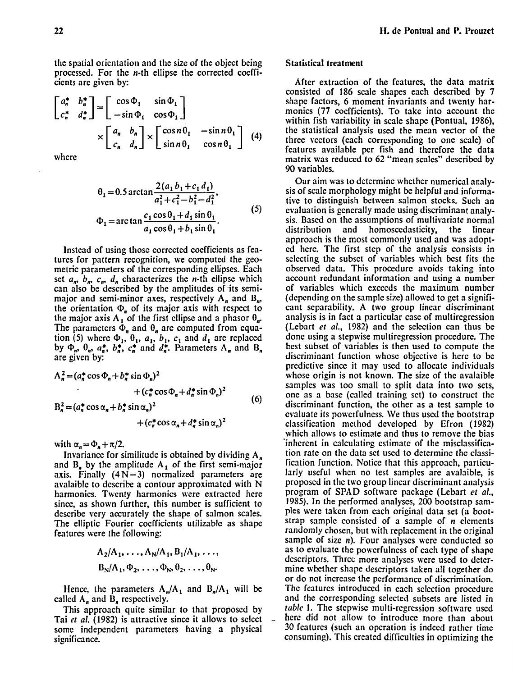the spatial orientation and the size of the object being processed. For the n-th ellipse the corrected cocfficicnts are givcn by:

$$
\begin{bmatrix} a_n^* & b_n^* \\ c_n^* & d_n^* \end{bmatrix} = \begin{bmatrix} \cos \Phi_1 & \sin \Phi_1 \\ -\sin \Phi_1 & \cos \Phi_1 \end{bmatrix}
$$

$$
\times \begin{bmatrix} a_n & b_n \\ c_n & d_n \end{bmatrix} \times \begin{bmatrix} \cos n\theta_1 & -\sin n\theta_1 \\ \sin n\theta_1 & \cos n\theta_1 \end{bmatrix} (4)
$$

where

$$
\theta_1 = 0.5 \arctan \frac{2(a_1 b_1 + c_1 d_1)}{a_1^2 + c_1^2 - b_1^2 - d_1^2},
$$
  
\n
$$
\Phi_1 = \arctan \frac{c_1 \cos \theta_1 + d_1 \sin \theta_1}{a_1 \cos \theta_1 + b_1 \sin \theta_1}.
$$
\n(5)

Instead of using those corrccted coefficients as featurcs for pattern recognition, we computed the geometric parameters of the corresponding ellipses. Each set  $a_n$ ,  $b_n$ ,  $c_n$ ,  $d_n$  characterizes the *n*-th ellipse which can also be described by the amplitudes of its semimajor and semi-minor axes, respectively  $A_n$  and  $B_n$ , the orientation  $\Phi_n$  of its major axis with respect to the major axis A, of the first ellipse and a phasor  $\theta_{n}$ . The parameters  $\Phi_n$  and  $\theta_n$  are computed from equation (5) where  $\Phi_1$ ,  $\theta_1$ ,  $a_1$ ,  $b_1$ ,  $c_1$  and  $d_1$  are replaced by  $\Phi_n$ ,  $\Theta_n$ ,  $a_n^*$ ,  $b_n^*$ ,  $c_n^*$  and  $d_n^*$ . Parameters  $\Lambda_n$  and  $B_n$ are given by:

$$
A_n^2 = (a_n^* \cos \Phi_n + b_n^* \sin \Phi_n)^2
$$
  
+  $(c_n^* \cos \Phi_n + d_n^* \sin \Phi_n)^2$   

$$
B_n^2 = (a_n^* \cos \alpha_n + b_n^* \sin \alpha_n)^2
$$
  
+  $(c_n^* \cos \alpha_n + d_n^* \sin \alpha_n)^2$  (6)

with  $\alpha_n = \Phi_n + \pi/2$ .

Invariance for similitude is obtained by dividing A, and  $B_n$  by the amplitude  $A_1$  of the first semi-major axis. Finally  $(4 N - 3)$  normalized parameters are avalaible to dcscribe a contour approximatcd with N harmonics. Twenty harmonics were extractcd here sincc, as shown further, this number is sufficient to describe very accurately the shape of salmon scales. The clliptic Fourier cocfficicnts utilizable as shape featurcs were the following:

$$
A_2/A_1, \ldots, A_N/A_1, B_1/A_1, \ldots,
$$
  

$$
B_N/A_1, \Phi_2, \ldots, \Phi_N, \Phi_2, \ldots, \Phi_N.
$$

Hence, the parameters  $A_n/A_1$  and  $B_n/A_1$  will be called  $A_n$  and  $B_n$  respectively.

This approach quite similar to that proposcd by Tai et al. (1982) is attractive since it allows to select somc indcpcndcnt parameters having a physical significance.

#### Statistical treatment

After extraction of the featurcs, the data matrix consisted of 186 scale shapes each described by 7 shape factors, 6 moment invariants and twcnty harmonics (77 coefficients). To take into account the within fish variability in scale shape (Pontual, 1986), the statistical analysis uscd the mean vector of the three vectors (cach corresponding to one scale) of fcatures available pcr fish and therefore the data matrix was reduccd to 62 "mean scalcs" describcd by 90 variables.

Our aim was to determine whcthcr numerical analysis of scale morphology might be helpful and informativc to distinguish bctwcen salmon stocks. Such an evaluation is gcncrally made using discriminant analysis. Bascd on the assumptions of multivariate normal distribution and homoscedasticity, the Iinear approach is the most commonly used and was adoptcd here. The first stcp of the analysis consists in sclccting the subsct of variables which bcst fits the observed data. This proccdure avoids taking into account redundant information and using a number of variables which excccds thc maximum numbcr (depending on the sample size) allowed to get a significant separability. A two group linear discriminant analysis is in fact a particular case of multiregression (Lebart et al., 1982) and the sclcction can thus be done using a stepwise multiregression proccdurc. The best subsct of variables is then used to compute the discriminant function whose objective is herc to be prcdictive sincc it may uscd to allocatc individuals whose origin is not known. The sizc of the avalaible samples was too small to split data into two sets, one as a base (callcd training sct) to construct the discriminant function, the other as a test sample to evaluate its powcrfulness. We thus uscd the bootstrap classification method developed by Efron (1982) which allows to estimate and thus to remove the bias 'inhcrcnt in calculating cstimate of the misclassificalion rate on the data sct used to determine thc classification function. Notice that this approach, particularly uscful whcn no test samplcs arc avalaible, is proposcd in the two group lincar discriminant analysis program of SPAD software package (Lebart et al., 1955). In the pcrformcd analyscs, 200 bootstrap samples were taken from cach original data set (a bootstrap sample consisted of a sample of  $n$  elements randomly chosen, but with replacement in the original sample of size *n*). Four analyses were conducted so as to evaluate the powcrfulncss of each type of shapc dcscriptors. Thrcc more analyses were used to detcrmine whether shape descriptors taken al1 together do or do not incrcase the performance of discrimination. Thc fcaturcs introduccd in each sclcction proccdure and the corresponding selected subsets are listed in table 1. The stepwise multi-regression software used here did not allow to introduce more than about 30 features (such an opcration is indeed rathcr time consuming). This created difficulties in optimizing the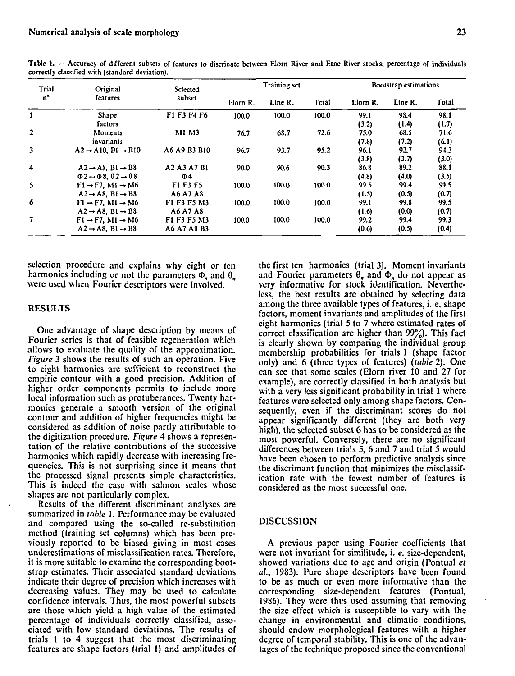| Trial                   | Original                                             | Selected     | Training set |         |       | Bootstrap estimations |         |       |
|-------------------------|------------------------------------------------------|--------------|--------------|---------|-------|-----------------------|---------|-------|
| $n^{\circ}$             | features                                             | subset       | Elorn R.     | Etne R. | Total | Elorn R.              | Etne R. | Total |
| 1                       | Shape                                                | F1 F3 F4 F6  | 100.0        | 100.0   | 100.0 | 99.1                  | 98.4    | 98.1  |
|                         | factors                                              |              |              |         |       | (3.2)                 | (1.4)   | (1.7) |
| $\mathbf{2}$            | Moments                                              | <b>M1 M3</b> | 76.7         | 68.7    | 72.6  | 75.0                  | 68.5    | 71.6  |
|                         | invariants                                           |              |              |         |       | (7.8)                 | (7.2)   | (6.1) |
| $\overline{\mathbf{3}}$ | $A2 \rightarrow A10$ , $B1 \rightarrow B10$          | A6 A9 B3 B10 | 96.7         | 93.7    | 95.2  | 96.1                  | 92.7    | 94.3  |
|                         |                                                      |              |              |         |       | (3.8)                 | (3.7)   | (3.0) |
| 4                       | $A2 \rightarrow A8$ , $B1 \rightarrow B8$            | A2 A3 A7 B1  | 90.0         | 90.6    | 90.3  | 86.8                  | 89.2    | 88.1  |
|                         | $\Phi$ 2 $\rightarrow$ $\Phi$ 8, 02 $\rightarrow$ 08 | $\Phi$ 4     |              |         |       | (4.8)                 | (4.0)   | (3.5) |
| 5                       | $F1 \rightarrow F7$ , M1 $\rightarrow$ M6            | F1 F3 F5     | 100.0        | 100.0   | 100.0 | 99.5                  | 99.4    | 99.5  |
|                         | $A2 \rightarrow AB$ , $B1 \rightarrow B8$            | A6 A7 A8     |              |         |       | (1.5)                 | (0.5)   | (0.7) |
| 6                       | $F1 \rightarrow F7$ , M1 $\rightarrow$ M6            | F1 F3 F5 M3  | 100.0        | 100.0   | 100.0 | 99.1                  | 99.8    | 99.5  |
|                         | $A2 \rightarrow A8$ , B1 $\rightarrow$ B8            | A6 A7 A8     |              |         |       | (1.6)                 | (0.0)   | (0.7) |
| 7                       | $F1 \rightarrow F7$ , M1 $\rightarrow$ M6            | F1 F3 F5 M3  | 100.0        | 100.0   | 100.0 | 99.2                  | 99.4    | 99.3  |
|                         | $A2 \rightarrow A8$ , $B1 \rightarrow B8$            | A6 A7 A8 B3  |              |         |       | (0.6)                 | (0.5)   | (0.4) |

Table 1. - Accuracy of different subsets of features to discrinate between Elorn River and Etne River stocks; percentage of individuals **correctly classified with (standard deviation).** 

sclcction procedurc and cxplains why cight or tcn harmonics including or not the parameters  $\Phi_n$  and  $\theta_n$ werc used whcn Fourier dcscriptors wcre involved.

#### **RESULTS**

One advantage of shape description by means of Fourier scrics is that of feasiblc rcgeneration which allows to evaluate the quality of the approximation. figure 3 shows the results of such an operation. Five to eight harmonics are sufficicnt to reconstruct the empiric contour with a good precision. Addition of higher order components permits to include more local information such as protuberanccs. Twenty harmonies generate a smooth version of the original contour and addition of higher frequencies might **be**  considered as addition of noise partly attributable to the digitizntion procedure. Figure 4 shows a rcpresentation of the rclativc contributions of the succcssive harmonics which rapidly decrease with increasing frequencics. This is not surprising since it means that the proccsscd signal prescrits simple characteristics. This is indecd the case with salmon scalcs whosc shapes are not particularly complex.

Results of thc different discriminant analyses are summarized in table 1. Performance may be evaluated and compared using the so-called re-substitution mcthod (training set columns) which has bcen prcviously rcportcd to bc biased giving in most cases undcrcstimations of misclassification rates. Thcrcfore, it is more suitable to examine the corresponding bootstrap estimates. Thcir associatcd standard deviations indicate thcir dcgrec of precision which increascs with decrcasing values. Thcy may be used to calculate confidence intcrvals. Thus, the most powerful subscts are thosc which yicld a high value of the estimatcd pcrcentage of individuals corrcctly classified, associatcd with low standard deviations. The rcsults of trials 1 to 4 suggcst that the most discriminating fcatures arc shapc factors (trial 1) and amplitudes of the first ten harmonics (trial 3). Moment invariants and Fourier parameters  $\theta_n$  and  $\Phi_n$  do not appear as vcry informativc for stock identification. Nevcrthc-Icss, the bcst rcsults are obtained by sclccting data among the three available types of features, **i.** e. shape factors, moment invariants and amplitudes of the first cight harmonics (trial 5 to 7 whcrc cstimatcd rates of correct classification arc higher than 99%). This fact is clearly shown by comparing the individual group mcmbership probabilities for trials 1 (shape factor only) and 6 (thrcc types of features) (table 2). One can see that some scalcs (Elorn river 10 and 27 for cxample), arc correctly classified in both analysis but with a very less significant probability in trial 1 where featurcs wcre sclcctcd only among shape factors. Conscqucntly, even if the discriminant scorcs do not appear significantly different (thcy are both very high), the selected subset 6 has to be considered as the most powerful. Converscly, there are no significant differences between trials 5, 6 and 7 and trial 5 would havc bccn chosen to perform prcdictive analysis since the discrimant function that minimizes the misclassification ratc with the fcwcst number of fcaturcs is considered as the most succcssful one.

#### DISCUSSION

A prcvious papcr using Fourier coefficients that wcrc not invariant for similitude, i. e. size-dcpcndent, showed variations due to age and origin (Pontual et al., 1983). Pure shape descriptors have been found to bc as much or even more informative than the corresponding size-dependent features (Pontual, 1986). Thcy were thus uscd assuming that rcmoving the size effcct which is susccptiblc to Vary with the change in environmental and climatic conditions, should endow morphological fentures with a higher dcgree of tcmporal stability. This is one of the advantagcs of the technique proposcd sincc the conventional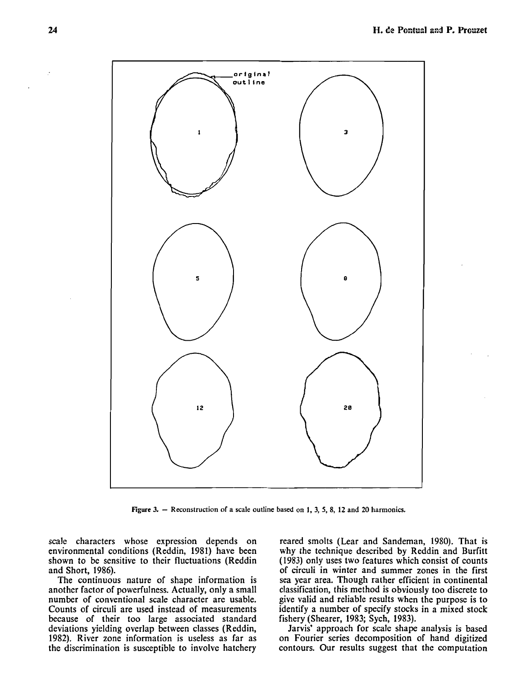

**Figure 3.** - **Reconstruction of a scale outline based on 1, 3, 5, 8, 12 and 20 harmonies.** 

scale characters whose expression depends on environmental conditions (Reddin, 1981) have been shown to be sensitive to their fluctuations (Reddin and Short, 1986).

The continuous nature of shape information is another factor of powerfulness. Actually, only a small number of conventional scale character are usable. Counts of circuli are used instead of measurements because of their too large associated standard deviations yielding overlap between classes (Reddin, 1982). River zone information is useless as far as the discrimination is susceptible to involve hatchery

reared smolts (Lear and Sandeman, 1980). That is why the technique described by Reddin and Burfitt (1983) only uses two features which consist of counts of circuli in winter and summer zones in the first sea year area. Though rather efficient in continental classification, this method is obviously too discrete to give valid and reliable results when the purpose is to identify a number of specify stocks in a mixed stock fishery (Shearer, 1983; Sych, 1983).

Jarvis' approach for scale shape analysis is based on Fourier series decomposition of hand digitized contours. Our results suggest that the computation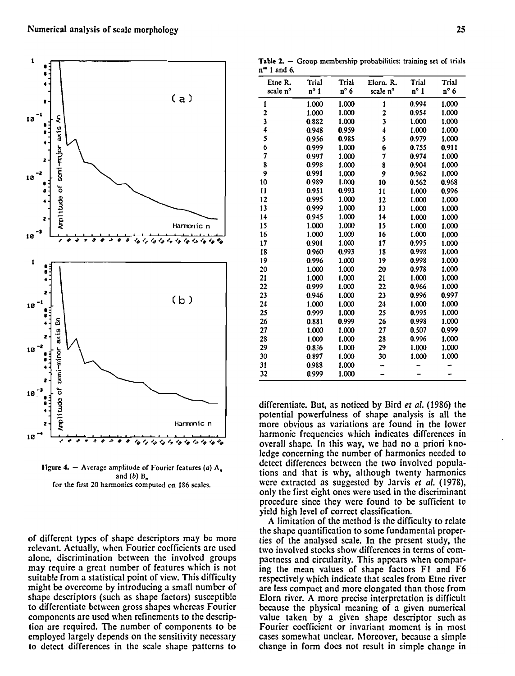

**figure 4.** – Average amplitude of Fourier features (a) A<sub>n</sub> **and** *(b)* **B, for the first 20 harmonics computed on 186 scales.** 

of different types of shape descriptors may be more relevant. Actually, when Fourier coefficients arc used alone, discrimination between the involved groups may require a great number of features which is not suitable from a statistical point of view. This difficulty might be overcome by introducing a small number of shape descriptors (such as shape factors) susceptible to differcntiate bctween gross shapcs whcrcas Fourier componcnts arc used when refinemcnts to the description are required. The number of components to be employed largely depends on the sensitivity necessary to detect differences in the scale shape patterns to

|  |                       |  | Table $2. -$ Group membership probabilities: training set of trials |  |  |
|--|-----------------------|--|---------------------------------------------------------------------|--|--|
|  | $n^{\infty}$ 1 and 6. |  |                                                                     |  |  |

| 4<br>t and v. |               |       |           |               |       |
|---------------|---------------|-------|-----------|---------------|-------|
| Etne R.       | Trial         | Trial | Elorn. R. | Trial         | Trial |
| scale n°      | $n^{\circ}$ 1 | n°6   | scale n°  | $n^{\circ}$ 1 | n°6   |
| 1             | 1.000         | 1.000 | 1         | 0.994         | 1.000 |
| 2             | 1.000         | 1.000 | 2         | 0.954         | 1.000 |
| 3             | 0.882         | 1.000 | 3         | 1.000         | 1.000 |
| 4             | 0.948         | 0.959 | 4         | 1.000         | 1.000 |
| 5             | 0.956         | 0.985 | 5         | 0.979         | 1.000 |
| 6             | 0.999         | 1.000 | 6         | 0.755         | 0.911 |
| 7             | 0.997         | 1.000 | 7         | 0.974         | 1.000 |
| 8             | 0.998         | 1.000 | 8         | 0.904         | 1.000 |
| 9             | 0.991         | 1.000 | 9         | 0.962         | 1.000 |
| 10            | 0.989         | 1.000 | 10        | 0.562         | 0.968 |
| 11            | 0.951         | 0.993 | 11        | 1.000         | 0.996 |
| 12            | 0.995         | 1.000 | 12        | 1.000         | 1.000 |
| 13            | 0.999         | 1.000 | 13        | 1.000         | 1.000 |
| 14            | 0.945         | 1.000 | 14        | 1.000         | 1.000 |
| 15            | 1.000         | 1.000 | 15        | 1.000         | 1.000 |
| 16            | 1.000         | 1.000 | 16        | 1.000         | 1.000 |
| 17            | 0.901         | 1.000 | 17        | 0.995         | 1.000 |
| 18            | 0.960         | 0.993 | 18        | 0.998         | 1.000 |
| 19            | 0.996         | 1.000 | 19        | 0.998         | 1.000 |
| 20            | 1.000         | 1.000 | 20        | 0.978         | 1.000 |
| 21            | 1.000         | 1.000 | 21        | 1.000         | 1.000 |
| 22            | 0.999         | 1.000 | 22        | 0.966         | 1.000 |
| 23            | 0.946         | 1.000 | 23        | 0.996         | 0.997 |
| 24            | 1.000         | 1.000 | 24        | 1.000         | 1.000 |
| 25            | 0.999         | 1.000 | 25        | 0.995         | 1.000 |
| 26            | 0.881         | 0.999 | 26        | 0.998         | 1.000 |
| 27            | 1.000         | 1.000 | 27        | 0.507         | 0.999 |
| 28            | 1.000         | 1.000 | 28        | 0.996         | 1.000 |
| 29            | 0.836         | 1.000 | 29        | 1.000         | 1.000 |
| 30            | 0.897         | 1.000 | 30        | 1.000         | 1.000 |
| 31            | 0.988         | 1.000 |           |               |       |
| 32            | 0.999         | 1.000 |           |               |       |

differentiate. But, as noticed by Bird et al. (1986) the potential powerfulness of shape analysis is all the more obvious as variations are found in the lower harmonic frequencies which indicates differences in overall shapc. In this way, we had no a priori knoledge concerning the number of harmonics needed to detect differences between the two involved populations and that is why, although twenty harmonics were extractcd as suggested by Jarvis et al. **(1978),**  only the first eight ones were used in the discriminant procedure since thcy were found to be sufficient to yield high level of correct classification.

A limitation of the method is the difficulty to relate the shape quantification to some fundamental properties of the analysed scale. In the present study, the two involved stocks show differences in terms of compactncss and circularity. This appcars when comparing the mean values of shape factors F1 and F6 respectively which indicate that scales from Etne river are less compact and morc elongated than those from Elorn river. **A** morc prccisc intcrpretation is difficult bccause the physical meaning of a given numerical value taken by a given shape descriptor such as Fourier coefficient or invariant moment is in most cases somewhat unclear. Moreover, because a simple change in form docs not result in simple change in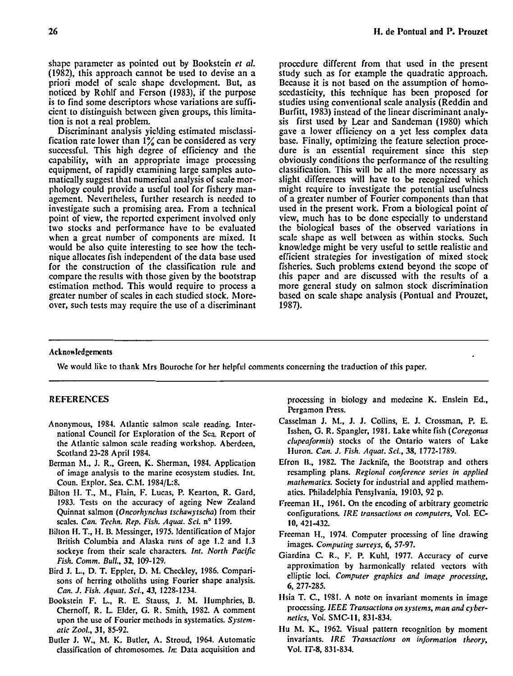shape parameter as pointed out by Bookstein et al. (1982), this approach cannot be used to devise an a priori mode1 of scale shape developmcnt. But, as noticed by Rohlf and Ferson (1983), if the purpose is to find some descriptors whose variations are sufficient to distinguish between given groups, this limitation is not a real problem.

Discriminant analysis yielding estimated misclassification rate lower than  $1\%$  can be considered as very successful. This high degree of efficiency and the capability, with an appropriate image processing equipment, of rapidly examining large samples automatically suggest that numerical analysis of scale morphology could provide a useful tool for fishery management. Nevertheless, further research is needed to investigate such a promising area. From a technical point of view, the reported cxperimcnt involvcd only two stocks and performance have to be evaluated when a great number of components are mixed. It would be also quite interesting to see how the technique allocates fish independent of the data base used for the construction of the classification rule and compare the results with those given by the bootstrap estimation method. This would require to process a greater number of scales in each studied stock. Moreover, such tests may require the use of a discriminant proccdure different from that used in the present study such as for example the quadratie approach. Because it is not based on the assumption of homoscedasticity, this technique has been proposed for studies using conventional scale analysis (Reddin and Burfitt, 1983) instead of the linear discriminant analysis first used by Lear and Sandeman (1980) which gave a lower efficiency on a yet less complex data base. Finally, optimizing the feature selection procedure is an essential requirement since this step obviously conditions the performance of the resulting classification. This will be al1 the more necessary as slight differences will have to be recognized which might require to investigate the potential usefulness of a greater number of Fourier components than that used in the present work. From a biological point of view, much has to be done especially to understand the biological bases of the observed variations in scale shape as well between as within stocks. Such knowledge might be very useful to settle realistic and efficient strategies for investigation of mixed stock fisheries. Such problcms extend beyond the scope of this papcr and are discussed with thc results of a more general study on salmon stock discrimination based on scale shape analysis (Pontual and Prouzet, 1987).

#### Acknowledgements

We would like to thank Mrs Bouroche for her helpful comments concerning the traduction of this paper.

#### **REFEREXCES**

- Anonymous, **1983.** Atlantic salmon scale reading. International Council for Exploration of the Sea. Report of the Atlantic salmon scale reading workshop. Aberdeen, Scotland **23-28** April **1984.**
- Berman hl., **J.** R., Green, K. Sherman, **1983.** Application of image analysis to the marine ecosystem studies. Int. Coun. Explor. Sea. C.hl. **1983/L:8.**
- Bilton 11. T.. **hl.,** Flain, **E:** Lucas, P. Kearton, R. Gard, **1983.** Tests on the accuracy of ageing New Zealand Quinnat salmon *(Oncorhynchus tschawytscha)* from their scales. *Can. Techn. Rep. Fish. Aquat. Sci.* nº 1199.
- Isilton LI. T., II. B. hlessinger, **1975.** Identification of hlajor British Columbia and Alaska runs of age **1.2** and **1.3**  sockeye from their scale characters. *Int. North Pacific Fish. Comm. Bull.,* 32, **109-129.**
- Bird J. L., D. T. Eppler, D. hl. Checkley, **1986.** Comparisons of herring otholiths using Fourier shape analysis. *Can.* J. *Fish. Aqwt. Sci.,* **43, 1228-1234.**
- Bookstein F. L., R. E. Stauss, J. M. Humphries, B. Chernoff, R. L. Elder, G. R. Smith, **1982.** A comment upon the use of Fourier methods in systematics. *Systematic Zool.,* 31, **85-92.**
- Butler J. **W.,** hl. K. Butler, A. Stroud, **1964.** Automatic classification of chromosomes. *In:* Data acquisition and

processing in biology and medecine K. Enslein Ed., Pergamon Press.

- Casselman J. hl., J. J. Collins, E. J. Crossman, P. E. Isshen, G. R. Spangler, **1981.** Lake white fish *(Coregonus clupeaformis)* stocks of the Ontario waters of Lake Huron. *Can.* J. *Fish. Aquat. Sci.,* 38, **1772-1789.**
- Efron IL, **1982.** The Jacknife, the Bootstrap and others rcsampling plans. *Regional conference series in applied mathematics.* Society for industrial and applied mathematics. Philadelphia Pensylvania, **19103, 92** p.
- Freeman II., **1961.** On the encoding of arbitrary geometric configurations. *IRE transactions on computers,* Vol. **EC-**IO, **421-432.**
- Freeman **li., 1974.** Computer processing of line drawing images. *Computing surreys,* 6, **57-97.**
- Giardina *C.* R., **F. 1%** Kuhl, **1977.** Accuracy of curve approximation by harmonically related vectors with elliptic loci. Computer graphics and image processing, **6, 277-285.**
- 11sia T. C., **1981. A** note on invariant moments in image processing. *IEEE Transactions on systems, man and cjberrwtics,* Vol. ShlCII, **831-833.**
- **Ilu** hl. **K. 1962.** Visual pattern recognition by moment invariants. IRE Transactions on information theory, Vol. **IT-8, 83 1-833.**